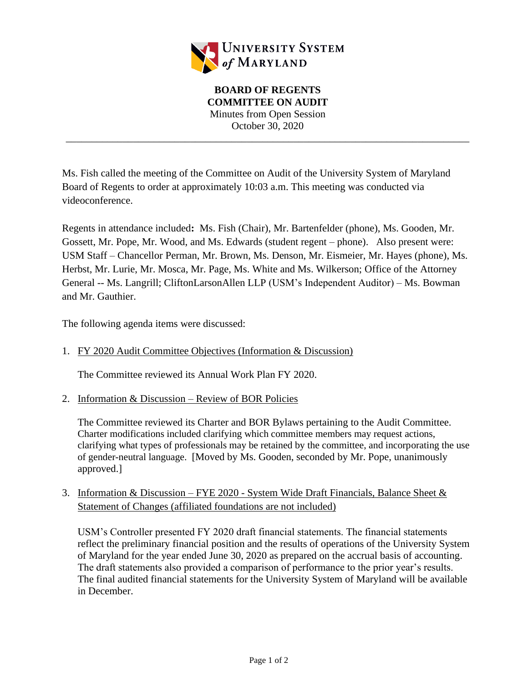

**BOARD OF REGENTS COMMITTEE ON AUDIT** Minutes from Open Session October 30, 2020

\_\_\_\_\_\_\_\_\_\_\_\_\_\_\_\_\_\_\_\_\_\_\_\_\_\_\_\_\_\_\_\_\_\_\_\_\_\_\_\_\_\_\_\_\_\_\_\_\_\_\_\_\_\_\_\_\_\_\_\_\_\_\_\_\_\_\_\_\_\_\_\_\_\_\_\_\_\_

Ms. Fish called the meeting of the Committee on Audit of the University System of Maryland Board of Regents to order at approximately 10:03 a.m. This meeting was conducted via videoconference.

Regents in attendance included**:** Ms. Fish (Chair), Mr. Bartenfelder (phone), Ms. Gooden, Mr. Gossett, Mr. Pope, Mr. Wood, and Ms. Edwards (student regent – phone). Also present were: USM Staff – Chancellor Perman, Mr. Brown, Ms. Denson, Mr. Eismeier, Mr. Hayes (phone), Ms. Herbst, Mr. Lurie, Mr. Mosca, Mr. Page, Ms. White and Ms. Wilkerson; Office of the Attorney General -- Ms. Langrill; CliftonLarsonAllen LLP (USM's Independent Auditor) – Ms. Bowman and Mr. Gauthier.

The following agenda items were discussed:

### 1. FY 2020 Audit Committee Objectives (Information & Discussion)

The Committee reviewed its Annual Work Plan FY 2020.

2. Information & Discussion – Review of BOR Policies

The Committee reviewed its Charter and BOR Bylaws pertaining to the Audit Committee. Charter modifications included clarifying which committee members may request actions, clarifying what types of professionals may be retained by the committee, and incorporating the use of gender-neutral language. [Moved by Ms. Gooden, seconded by Mr. Pope, unanimously approved.]

3. Information & Discussion – FYE 2020 - System Wide Draft Financials, Balance Sheet & Statement of Changes (affiliated foundations are not included)

USM's Controller presented FY 2020 draft financial statements. The financial statements reflect the preliminary financial position and the results of operations of the University System of Maryland for the year ended June 30, 2020 as prepared on the accrual basis of accounting. The draft statements also provided a comparison of performance to the prior year's results. The final audited financial statements for the University System of Maryland will be available in December.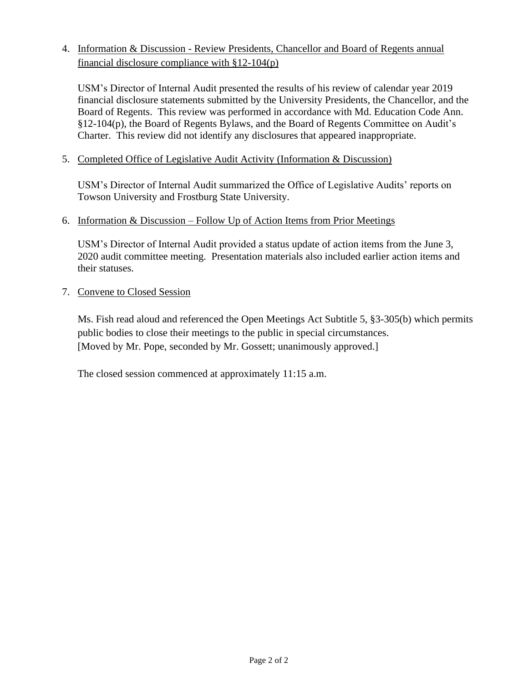# 4. Information & Discussion - Review Presidents, Chancellor and Board of Regents annual financial disclosure compliance with §12-104(p)

USM's Director of Internal Audit presented the results of his review of calendar year 2019 financial disclosure statements submitted by the University Presidents, the Chancellor, and the Board of Regents. This review was performed in accordance with Md. Education Code Ann. §12-104(p), the Board of Regents Bylaws, and the Board of Regents Committee on Audit's Charter. This review did not identify any disclosures that appeared inappropriate.

# 5. Completed Office of Legislative Audit Activity (Information & Discussion)

USM's Director of Internal Audit summarized the Office of Legislative Audits' reports on Towson University and Frostburg State University.

### 6. Information & Discussion – Follow Up of Action Items from Prior Meetings

USM's Director of Internal Audit provided a status update of action items from the June 3, 2020 audit committee meeting. Presentation materials also included earlier action items and their statuses.

# 7. Convene to Closed Session

Ms. Fish read aloud and referenced the Open Meetings Act Subtitle 5, §3-305(b) which permits public bodies to close their meetings to the public in special circumstances. [Moved by Mr. Pope, seconded by Mr. Gossett; unanimously approved.]

The closed session commenced at approximately 11:15 a.m.